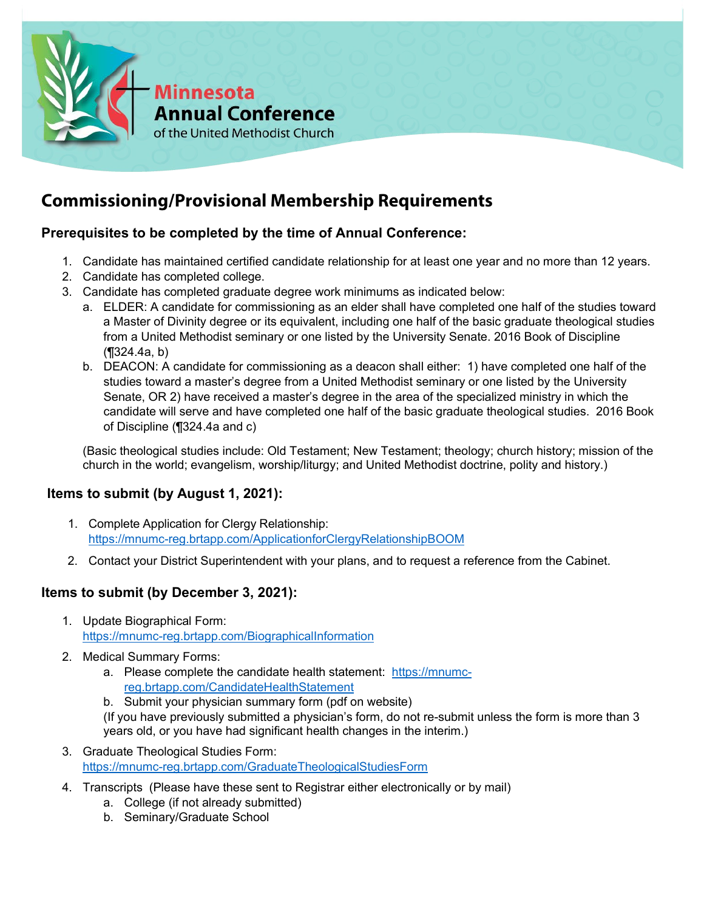

# **Commissioning/Provisional Membership Requirements**

# **Prerequisites to be completed by the time of Annual Conference:**

- 1. Candidate has maintained certified candidate relationship for at least one year and no more than 12 years.
- 2. Candidate has completed college.
- 3. Candidate has completed graduate degree work minimums as indicated below:
	- a. ELDER: A candidate for commissioning as an elder shall have completed one half of the studies toward a Master of Divinity degree or its equivalent, including one half of the basic graduate theological studies from a United Methodist seminary or one listed by the University Senate. 2016 Book of Discipline (¶324.4a, b)
	- b. DEACON: A candidate for commissioning as a deacon shall either: 1) have completed one half of the studies toward a master's degree from a United Methodist seminary or one listed by the University Senate, OR 2) have received a master's degree in the area of the specialized ministry in which the candidate will serve and have completed one half of the basic graduate theological studies. 2016 Book of Discipline (¶324.4a and c)

(Basic theological studies include: Old Testament; New Testament; theology; church history; mission of the church in the world; evangelism, worship/liturgy; and United Methodist doctrine, polity and history.)

## **Items to submit (by August 1, 2021):**

- 1. Complete Application for Clergy Relationship: <https://mnumc-reg.brtapp.com/ApplicationforClergyRelationshipBOOM>
- 2. Contact your District Superintendent with your plans, and to request a reference from the Cabinet.

## **Items to submit (by December 3, 2021):**

- 1. Update Biographical Form: <https://mnumc-reg.brtapp.com/BiographicalInformation>
- 2. Medical Summary Forms:
	- a. Please complete the candidate health statement: [https://mnumc](https://mnumc-reg.brtapp.com/CandidateHealthStatement)[reg.brtapp.com/CandidateHealthStatement](https://mnumc-reg.brtapp.com/CandidateHealthStatement)
	- b. Submit your physician summary form (pdf on website)

(If you have previously submitted a physician's form, do not re-submit unless the form is more than 3 years old, or you have had significant health changes in the interim.)

- 3. Graduate Theological Studies Form: <https://mnumc-reg.brtapp.com/GraduateTheologicalStudiesForm>
- 4. Transcripts (Please have these sent to Registrar either electronically or by mail)
	- a. College (if not already submitted)
	- b. Seminary/Graduate School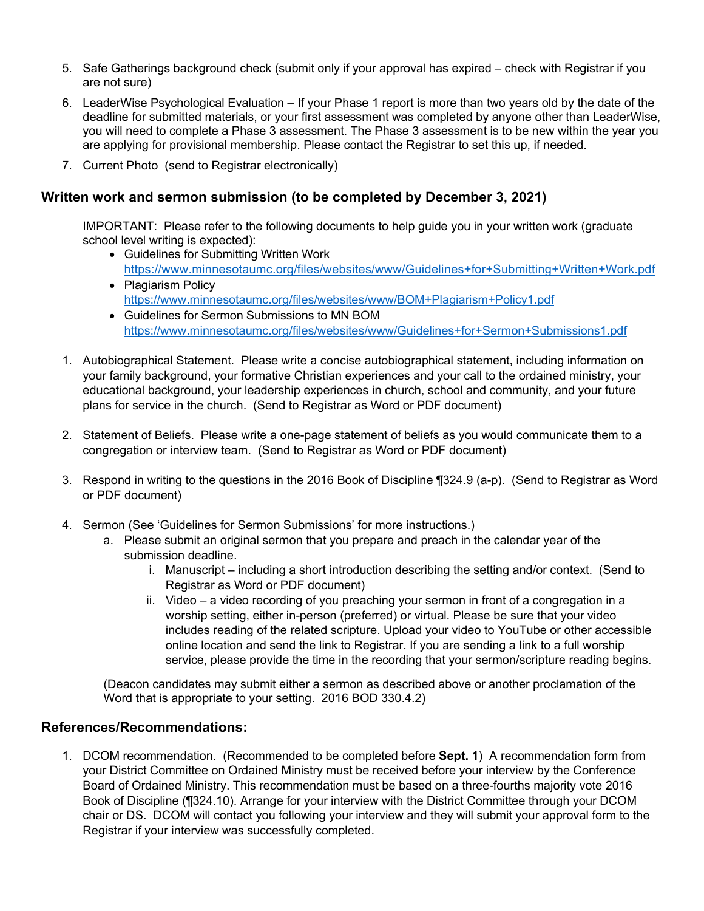- 5. Safe Gatherings background check (submit only if your approval has expired check with Registrar if you are not sure)
- 6. LeaderWise Psychological Evaluation If your Phase 1 report is more than two years old by the date of the deadline for submitted materials, or your first assessment was completed by anyone other than LeaderWise, you will need to complete a Phase 3 assessment. The Phase 3 assessment is to be new within the year you are applying for provisional membership. Please contact the Registrar to set this up, if needed.
- 7. Current Photo (send to Registrar electronically)

#### **Written work and sermon submission (to be completed by December 3, 2021)**

IMPORTANT: Please refer to the following documents to help guide you in your written work (graduate school level writing is expected):

- Guidelines for Submitting Written Work <https://www.minnesotaumc.org/files/websites/www/Guidelines+for+Submitting+Written+Work.pdf>
- Plagiarism Policy <https://www.minnesotaumc.org/files/websites/www/BOM+Plagiarism+Policy1.pdf>
- Guidelines for Sermon Submissions to MN BOM <https://www.minnesotaumc.org/files/websites/www/Guidelines+for+Sermon+Submissions1.pdf>
- 1. Autobiographical Statement. Please write a concise autobiographical statement, including information on your family background, your formative Christian experiences and your call to the ordained ministry, your educational background, your leadership experiences in church, school and community, and your future plans for service in the church. (Send to Registrar as Word or PDF document)
- 2. Statement of Beliefs. Please write a one-page statement of beliefs as you would communicate them to a congregation or interview team. (Send to Registrar as Word or PDF document)
- 3. Respond in writing to the questions in the 2016 Book of Discipline ¶324.9 (a-p). (Send to Registrar as Word or PDF document)
- 4. Sermon (See 'Guidelines for Sermon Submissions' for more instructions.)
	- a. Please submit an original sermon that you prepare and preach in the calendar year of the submission deadline.
		- i. Manuscript including a short introduction describing the setting and/or context. (Send to Registrar as Word or PDF document)
		- ii. Video a video recording of you preaching your sermon in front of a congregation in a worship setting, either in-person (preferred) or virtual. Please be sure that your video includes reading of the related scripture. Upload your video to YouTube or other accessible online location and send the link to Registrar. If you are sending a link to a full worship service, please provide the time in the recording that your sermon/scripture reading begins.

(Deacon candidates may submit either a sermon as described above or another proclamation of the Word that is appropriate to your setting. 2016 BOD 330.4.2)

#### **References/Recommendations:**

1. DCOM recommendation. (Recommended to be completed before **Sept. 1**) A recommendation form from your District Committee on Ordained Ministry must be received before your interview by the Conference Board of Ordained Ministry. This recommendation must be based on a three-fourths majority vote 2016 Book of Discipline (¶324.10). Arrange for your interview with the District Committee through your DCOM chair or DS. DCOM will contact you following your interview and they will submit your approval form to the Registrar if your interview was successfully completed.